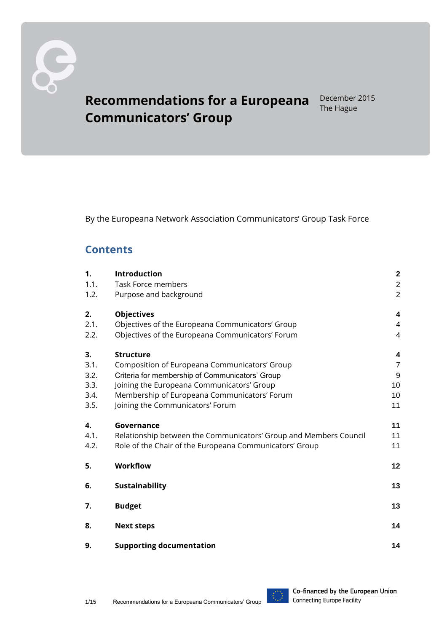

# **Recommendations for a Europeana Communicators' Group**

December 2015 The Hague

By the Europeana Network Association Communicators' Group Task Force

### **Contents**

| 1.           | Introduction                                                      | $\overline{\mathbf{2}}$ |
|--------------|-------------------------------------------------------------------|-------------------------|
| 1.1.         | <b>Task Force members</b>                                         | $\overline{c}$          |
| 1.2.         | Purpose and background                                            | $\overline{2}$          |
| 2.           | <b>Objectives</b>                                                 | $\overline{\mathbf{4}}$ |
| 2.1.         | Objectives of the Europeana Communicators' Group                  | $\overline{4}$          |
| 2.2.         | Objectives of the Europeana Communicators' Forum                  | $\overline{\mathbf{4}}$ |
| 3.           | <b>Structure</b>                                                  | 4                       |
| 3.1.         | Composition of Europeana Communicators' Group                     | $\overline{7}$          |
| 3.2.         | Criteria for membership of Communicators' Group                   | $9$                     |
| 3.3.         | Joining the Europeana Communicators' Group                        | 10                      |
| 3.4.         | Membership of Europeana Communicators' Forum                      | 10                      |
| 3.5.         | Joining the Communicators' Forum                                  | 11                      |
| $\mathbf{4}$ | Governance                                                        | 11                      |
| 4.1.         | Relationship between the Communicators' Group and Members Council | 11                      |
| 4.2.         | Role of the Chair of the Europeana Communicators' Group           | 11                      |
| 5.           | <b>Workflow</b>                                                   | 12                      |
| 6.           | Sustainability                                                    | 13                      |
| 7.           | <b>Budget</b>                                                     | 13                      |
| 8.           | <b>Next steps</b>                                                 | 14                      |
| 9.           | <b>Supporting documentation</b>                                   | 14                      |

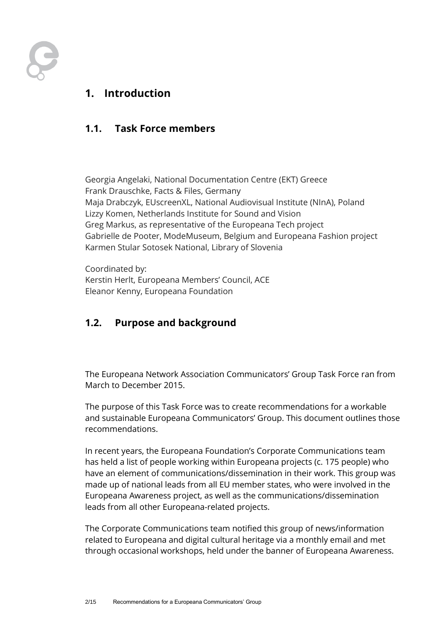

### <span id="page-1-0"></span>**1. Introduction**

#### <span id="page-1-1"></span>**1.1. Task Force members**

Georgia Angelaki, National Documentation Centre (EKT) Greece Frank Drauschke, Facts & Files, Germany Maja Drabczyk, EUscreenXL, National Audiovisual Institute (NInA), Poland Lizzy Komen, Netherlands Institute for Sound and Vision Greg Markus, as representative of the Europeana Tech project Gabrielle de Pooter, ModeMuseum, Belgium and Europeana Fashion project Karmen Stular Sotosek National, Library of Slovenia

Coordinated by: Kerstin Herlt, Europeana Members' Council, ACE Eleanor Kenny, Europeana Foundation

#### <span id="page-1-2"></span>**1.2. Purpose and background**

The Europeana Network Association Communicators' Group Task Force ran from March to December 2015.

The purpose of this Task Force was to create recommendations for a workable and sustainable Europeana Communicators' Group. This document outlines those recommendations.

In recent years, the Europeana Foundation's Corporate Communications team has held a list of people working within Europeana projects (c. 175 people) who have an element of communications/dissemination in their work. This group was made up of national leads from all EU member states, who were involved in the Europeana Awareness project, as well as the communications/dissemination leads from all other Europeana-related projects.

The Corporate Communications team notified this group of news/information related to Europeana and digital cultural heritage via a monthly email and met through occasional workshops, held under the banner of Europeana Awareness.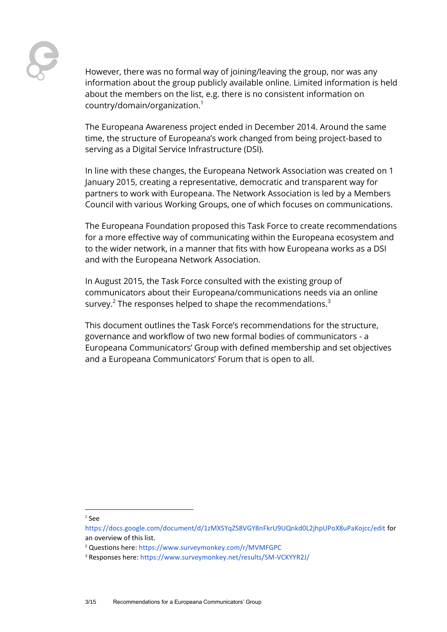However, there was no formal way of joining/leaving the group, nor was any information about the group publicly available online. Limited information is held about the members on the list, e.g. there is no consistent information on country/domain/organization.<sup>1</sup>

The Europeana Awareness project ended in December 2014. Around the same time, the structure of Europeana's work changed from being project-based to serving as a Digital Service Infrastructure (DSI).

In line with these changes, the Europeana Network Association was created on 1 January 2015, creating a representative, democratic and transparent way for partners to work with Europeana. The Network Association is led by a Members Council with various Working Groups, one of which focuses on communications.

The Europeana Foundation proposed this Task Force to create recommendations for a more effective way of communicating within the Europeana ecosystem and to the wider network, in a manner that fits with how Europeana works as a DSI and with the Europeana Network Association.

In August 2015, the Task Force consulted with the existing group of communicators about their Europeana/communications needs via an online survey. $^2$  The responses helped to shape the recommendations. $^3$ 

This document outlines the Task Force's recommendations for the structure, governance and workflow of two new formal bodies of communicators - a Europeana Communicators' Group with defined membership and set objectives and a Europeana Communicators' Forum that is open to all.

l

<sup>1</sup> See

<https://docs.google.com/document/d/1zMXSYqZS8VGY8nFkrU9UQnkd0L2jhpUPoX8uPaKojcc/edit> for an overview of this list.

<sup>2</sup> Questions here:<https://www.surveymonkey.com/r/MVMFGPC>

<sup>3</sup> Responses here:<https://www.surveymonkey.net/results/SM-VCKYYR2J/>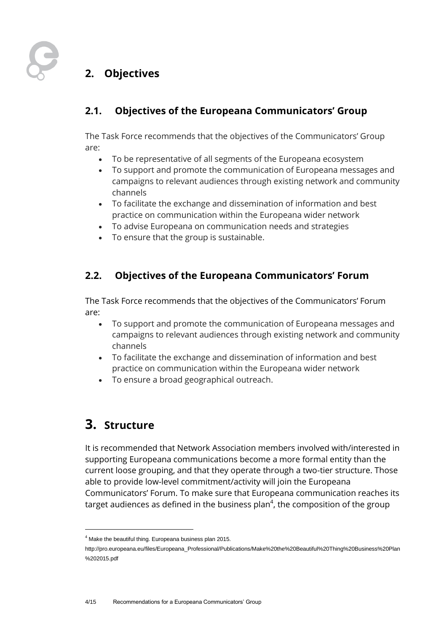

## <span id="page-3-0"></span>**2. Objectives**

#### <span id="page-3-1"></span>**2.1. Objectives of the Europeana Communicators' Group**

The Task Force recommends that the objectives of the Communicators' Group are:

- To be representative of all segments of the Europeana ecosystem
- To support and promote the communication of Europeana messages and campaigns to relevant audiences through existing network and community channels
- To facilitate the exchange and dissemination of information and best practice on communication within the Europeana wider network
- To advise Europeana on communication needs and strategies
- To ensure that the group is sustainable.

#### <span id="page-3-2"></span>**2.2. Objectives of the Europeana Communicators' Forum**

The Task Force recommends that the objectives of the Communicators' Forum are:

- To support and promote the communication of Europeana messages and campaigns to relevant audiences through existing network and community channels
- To facilitate the exchange and dissemination of information and best practice on communication within the Europeana wider network
- To ensure a broad geographical outreach.

## <span id="page-3-3"></span>**3. Structure**

l

It is recommended that Network Association members involved with/interested in supporting Europeana communications become a more formal entity than the current loose grouping, and that they operate through a two-tier structure. Those able to provide low-level commitment/activity will join the Europeana Communicators' Forum. To make sure that Europeana communication reaches its target audiences as defined in the business plan $^4$ , the composition of the group

 $4$  Make the beautiful thing. Europeana business plan 2015.

http://pro.europeana.eu/files/Europeana\_Professional/Publications/Make%20the%20Beautiful%20Thing%20Business%20Plan %202015.pdf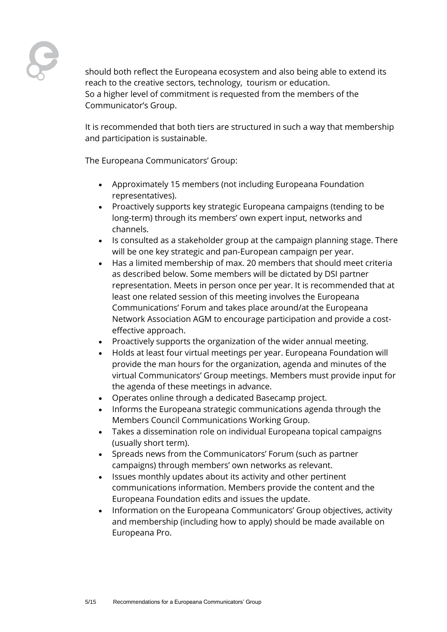should both reflect the Europeana ecosystem and also being able to extend its reach to the creative sectors, technology, tourism or education. So a higher level of commitment is requested from the members of the Communicator's Group.

It is recommended that both tiers are structured in such a way that membership and participation is sustainable.

The Europeana Communicators' Group:

- Approximately 15 members (not including Europeana Foundation representatives).
- Proactively supports key strategic Europeana campaigns (tending to be long-term) through its members' own expert input, networks and channels.
- Is consulted as a stakeholder group at the campaign planning stage. There will be one key strategic and pan-European campaign per year.
- Has a limited membership of max. 20 members that should meet criteria as described below. Some members will be dictated by DSI partner representation. Meets in person once per year. It is recommended that at least one related session of this meeting involves the Europeana Communications' Forum and takes place around/at the Europeana Network Association AGM to encourage participation and provide a costeffective approach.
- Proactively supports the organization of the wider annual meeting.
- Holds at least four virtual meetings per year. Europeana Foundation will provide the man hours for the organization, agenda and minutes of the virtual Communicators' Group meetings. Members must provide input for the agenda of these meetings in advance.
- Operates online through a dedicated Basecamp project.
- Informs the Europeana strategic communications agenda through the Members Council Communications Working Group.
- Takes a dissemination role on individual Europeana topical campaigns (usually short term).
- Spreads news from the Communicators' Forum (such as partner campaigns) through members' own networks as relevant.
- Issues monthly updates about its activity and other pertinent communications information. Members provide the content and the Europeana Foundation edits and issues the update.
- Information on the Europeana Communicators' Group objectives, activity and membership (including how to apply) should be made available on Europeana Pro.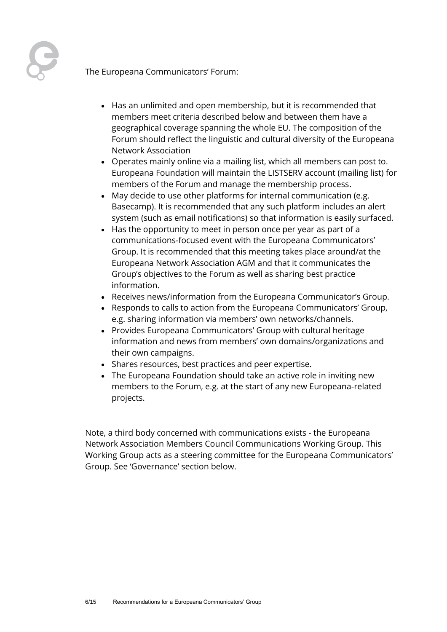

The Europeana Communicators' Forum:

- Has an unlimited and open membership, but it is recommended that members meet criteria described below and between them have a geographical coverage spanning the whole EU. The composition of the Forum should reflect the linguistic and cultural diversity of the Europeana Network Association
- Operates mainly online via a mailing list, which all members can post to. Europeana Foundation will maintain the LISTSERV account (mailing list) for members of the Forum and manage the membership process.
- May decide to use other platforms for internal communication (e.g. Basecamp). It is recommended that any such platform includes an alert system (such as email notifications) so that information is easily surfaced.
- Has the opportunity to meet in person once per year as part of a communications-focused event with the Europeana Communicators' Group. It is recommended that this meeting takes place around/at the Europeana Network Association AGM and that it communicates the Group's objectives to the Forum as well as sharing best practice information.
- Receives news/information from the Europeana Communicator's Group.
- Responds to calls to action from the Europeana Communicators' Group, e.g. sharing information via members' own networks/channels.
- Provides Europeana Communicators' Group with cultural heritage information and news from members' own domains/organizations and their own campaigns.
- Shares resources, best practices and peer expertise.
- The Europeana Foundation should take an active role in inviting new members to the Forum, e.g. at the start of any new Europeana-related projects.

Note, a third body concerned with communications exists - the Europeana Network Association Members Council Communications Working Group. This Working Group acts as a steering committee for the Europeana Communicators' Group. See 'Governance' section below.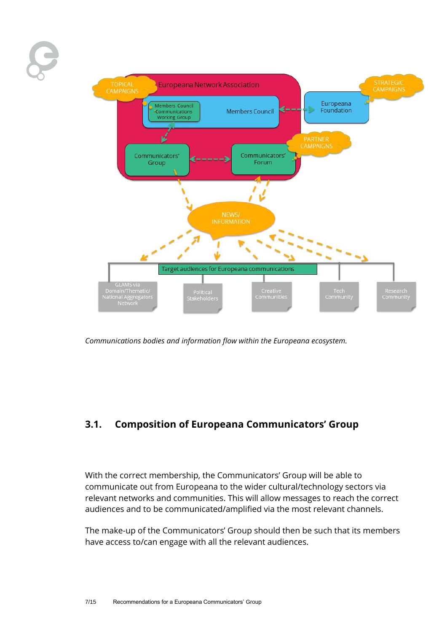

<span id="page-6-0"></span>*Communications bodies and information flow within the Europeana ecosystem.*

#### **3.1. Composition of Europeana Communicators' Group**

With the correct membership, the Communicators' Group will be able to communicate out from Europeana to the wider cultural/technology sectors via relevant networks and communities. This will allow messages to reach the correct audiences and to be communicated/amplified via the most relevant channels.

The make-up of the Communicators' Group should then be such that its members have access to/can engage with all the relevant audiences.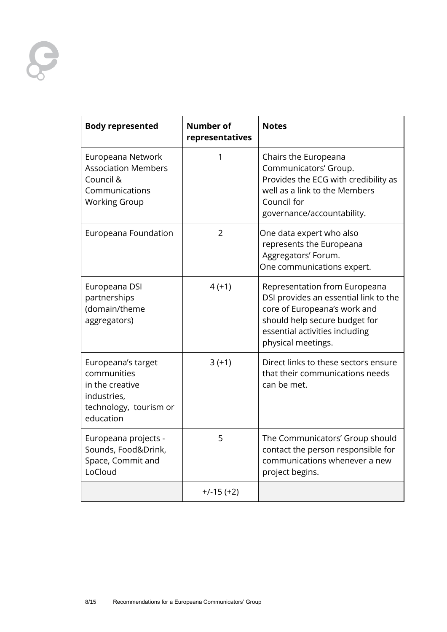

| <b>Body represented</b>                                                                                    | <b>Number of</b><br>representatives | <b>Notes</b>                                                                                                                                                                                    |
|------------------------------------------------------------------------------------------------------------|-------------------------------------|-------------------------------------------------------------------------------------------------------------------------------------------------------------------------------------------------|
| Europeana Network<br><b>Association Members</b><br>Council &<br>Communications<br><b>Working Group</b>     | 1                                   | Chairs the Europeana<br>Communicators' Group.<br>Provides the ECG with credibility as<br>well as a link to the Members<br>Council for<br>governance/accountability.                             |
| Europeana Foundation                                                                                       | $\overline{2}$                      | One data expert who also<br>represents the Europeana<br>Aggregators' Forum.<br>One communications expert.                                                                                       |
| Europeana DSI<br>partnerships<br>(domain/theme<br>aggregators)                                             | $4(+1)$                             | Representation from Europeana<br>DSI provides an essential link to the<br>core of Europeana's work and<br>should help secure budget for<br>essential activities including<br>physical meetings. |
| Europeana's target<br>communities<br>in the creative<br>industries,<br>technology, tourism or<br>education | $3(+1)$                             | Direct links to these sectors ensure<br>that their communications needs<br>can be met.                                                                                                          |
| Europeana projects -<br>Sounds, Food&Drink,<br>Space, Commit and<br>LoCloud                                | 5                                   | The Communicators' Group should<br>contact the person responsible for<br>communications whenever a new<br>project begins.                                                                       |
|                                                                                                            | $+/-15 (+2)$                        |                                                                                                                                                                                                 |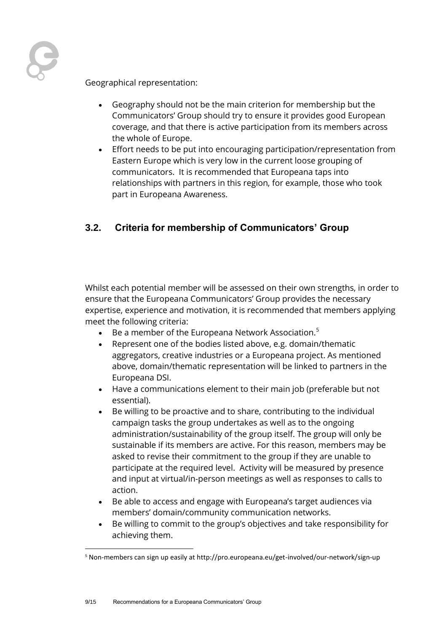Geographical representation:

- Geography should not be the main criterion for membership but the Communicators' Group should try to ensure it provides good European coverage, and that there is active participation from its members across the whole of Europe.
- Effort needs to be put into encouraging participation/representation from Eastern Europe which is very low in the current loose grouping of communicators. It is recommended that Europeana taps into relationships with partners in this region, for example, those who took part in Europeana Awareness.

#### <span id="page-8-0"></span>**3.2. Criteria for membership of Communicators' Group**

Whilst each potential member will be assessed on their own strengths, in order to ensure that the Europeana Communicators' Group provides the necessary expertise, experience and motivation, it is recommended that members applying meet the following criteria:

- Be a member of the Europeana Network Association.<sup>5</sup>
- Represent one of the bodies listed above, e.g. domain/thematic aggregators, creative industries or a Europeana project. As mentioned above, domain/thematic representation will be linked to partners in the Europeana DSI.
- Have a communications element to their main job (preferable but not essential).
- Be willing to be proactive and to share, contributing to the individual campaign tasks the group undertakes as well as to the ongoing administration/sustainability of the group itself. The group will only be sustainable if its members are active. For this reason, members may be asked to revise their commitment to the group if they are unable to participate at the required level. Activity will be measured by presence and input at virtual/in-person meetings as well as responses to calls to action.
- Be able to access and engage with Europeana's target audiences via members' domain/community communication networks.
- Be willing to commit to the group's objectives and take responsibility for achieving them.

l

<sup>&</sup>lt;sup>5</sup> Non-members can sign up easily at http://pro.europeana.eu/get-involved/our-network/sign-up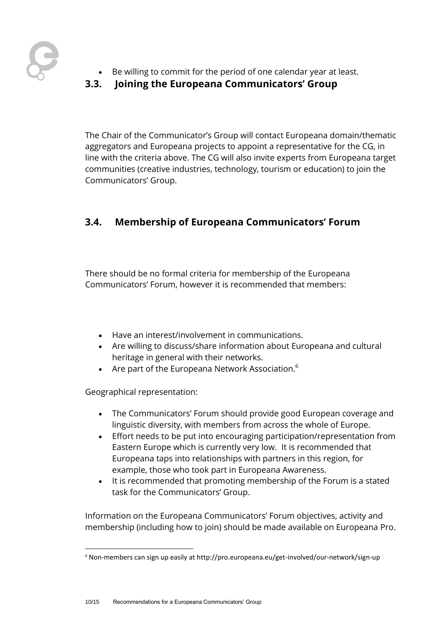

- Be willing to commit for the period of one calendar year at least.
- <span id="page-9-0"></span>**3.3. Joining the Europeana Communicators' Group**

The Chair of the Communicator's Group will contact Europeana domain/thematic aggregators and Europeana projects to appoint a representative for the CG, in line with the criteria above. The CG will also invite experts from Europeana target communities (creative industries, technology, tourism or education) to join the Communicators' Group.

### <span id="page-9-1"></span>**3.4. Membership of Europeana Communicators' Forum**

There should be no formal criteria for membership of the Europeana Communicators' Forum, however it is recommended that members:

- Have an interest/involvement in communications.
- Are willing to discuss/share information about Europeana and cultural heritage in general with their networks.
- Are part of the Europeana Network Association.<sup>6</sup>

Geographical representation:

l

- The Communicators' Forum should provide good European coverage and linguistic diversity, with members from across the whole of Europe.
- Effort needs to be put into encouraging participation/representation from Eastern Europe which is currently very low. It is recommended that Europeana taps into relationships with partners in this region, for example, those who took part in Europeana Awareness.
- It is recommended that promoting membership of the Forum is a stated task for the Communicators' Group.

Information on the Europeana Communicators' Forum objectives, activity and membership (including how to join) should be made available on Europeana Pro.

<sup>&</sup>lt;sup>6</sup> Non-members can sign up easily at http://pro.europeana.eu/get-involved/our-network/sign-up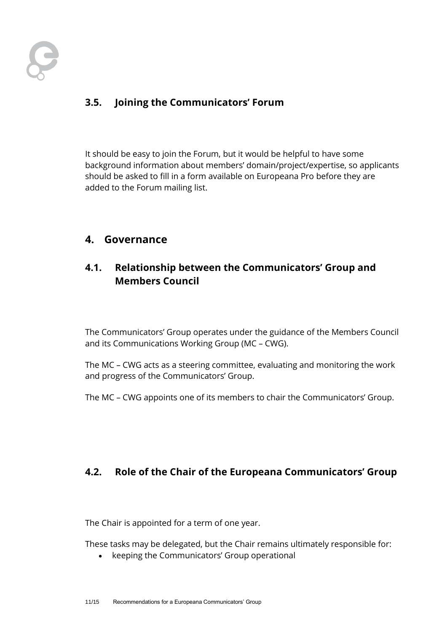

### <span id="page-10-0"></span>**3.5. Joining the Communicators' Forum**

It should be easy to join the Forum, but it would be helpful to have some background information about members' domain/project/expertise, so applicants should be asked to fill in a form available on Europeana Pro before they are added to the Forum mailing list.

#### <span id="page-10-1"></span>**4. Governance**

#### <span id="page-10-2"></span>**4.1. Relationship between the Communicators' Group and Members Council**

The Communicators' Group operates under the guidance of the Members Council and its Communications Working Group (MC – CWG).

The MC – CWG acts as a steering committee, evaluating and monitoring the work and progress of the Communicators' Group.

<span id="page-10-3"></span>The MC – CWG appoints one of its members to chair the Communicators' Group.

#### **4.2. Role of the Chair of the Europeana Communicators' Group**

The Chair is appointed for a term of one year.

These tasks may be delegated, but the Chair remains ultimately responsible for:

• keeping the Communicators' Group operational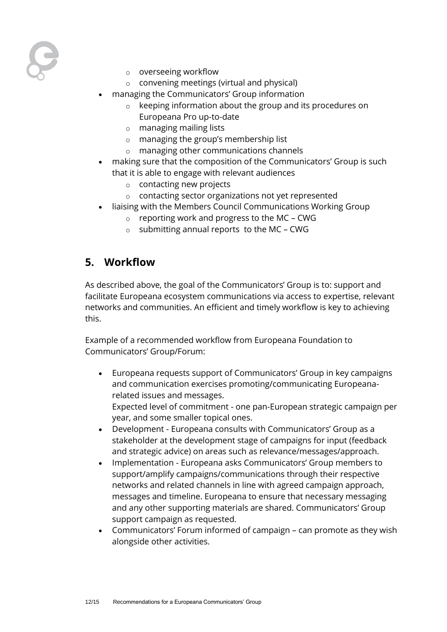

- o overseeing workflow
- o convening meetings (virtual and physical)
- managing the Communicators' Group information
	- o keeping information about the group and its procedures on Europeana Pro up-to-date
	- o managing mailing lists
	- o managing the group's membership list
	- o managing other communications channels
- making sure that the composition of the Communicators' Group is such that it is able to engage with relevant audiences
	- o contacting new projects
	- o contacting sector organizations not yet represented
	- liaising with the Members Council Communications Working Group
		- $\circ$  reporting work and progress to the MC CWG
		- o submitting annual reports to the MC CWG

### <span id="page-11-0"></span>**5. Workflow**

As described above, the goal of the Communicators' Group is to: support and facilitate Europeana ecosystem communications via access to expertise, relevant networks and communities. An efficient and timely workflow is key to achieving this.

Example of a recommended workflow from Europeana Foundation to Communicators' Group/Forum:

- Europeana requests support of Communicators' Group in key campaigns and communication exercises promoting/communicating Europeanarelated issues and messages.
	- Expected level of commitment one pan-European strategic campaign per year, and some smaller topical ones.
- Development Europeana consults with Communicators' Group as a stakeholder at the development stage of campaigns for input (feedback and strategic advice) on areas such as relevance/messages/approach.
- Implementation Europeana asks Communicators' Group members to support/amplify campaigns/communications through their respective networks and related channels in line with agreed campaign approach, messages and timeline. Europeana to ensure that necessary messaging and any other supporting materials are shared. Communicators' Group support campaign as requested.
- Communicators' Forum informed of campaign can promote as they wish alongside other activities.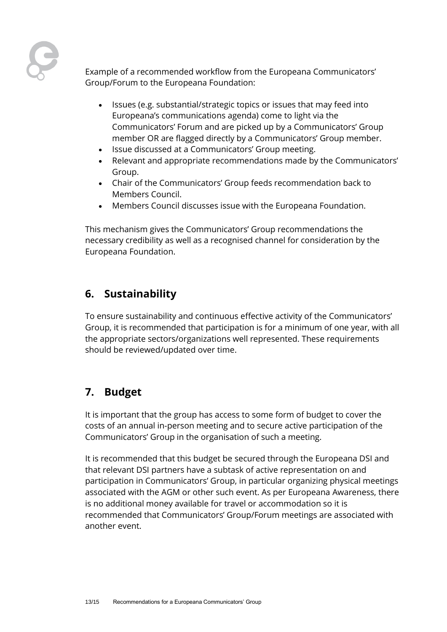Example of a recommended workflow from the Europeana Communicators' Group/Forum to the Europeana Foundation:

- Issues (e.g. substantial/strategic topics or issues that may feed into Europeana's communications agenda) come to light via the Communicators' Forum and are picked up by a Communicators' Group member OR are flagged directly by a Communicators' Group member.
- Issue discussed at a Communicators' Group meeting.
- Relevant and appropriate recommendations made by the Communicators' Group.
- Chair of the Communicators' Group feeds recommendation back to Members Council.
- Members Council discusses issue with the Europeana Foundation.

This mechanism gives the Communicators' Group recommendations the necessary credibility as well as a recognised channel for consideration by the Europeana Foundation.

### <span id="page-12-0"></span>**6. Sustainability**

To ensure sustainability and continuous effective activity of the Communicators' Group, it is recommended that participation is for a minimum of one year, with all the appropriate sectors/organizations well represented. These requirements should be reviewed/updated over time.

### <span id="page-12-1"></span>**7. Budget**

It is important that the group has access to some form of budget to cover the costs of an annual in-person meeting and to secure active participation of the Communicators' Group in the organisation of such a meeting.

It is recommended that this budget be secured through the Europeana DSI and that relevant DSI partners have a subtask of active representation on and participation in Communicators' Group, in particular organizing physical meetings associated with the AGM or other such event. As per Europeana Awareness, there is no additional money available for travel or accommodation so it is recommended that Communicators' Group/Forum meetings are associated with another event.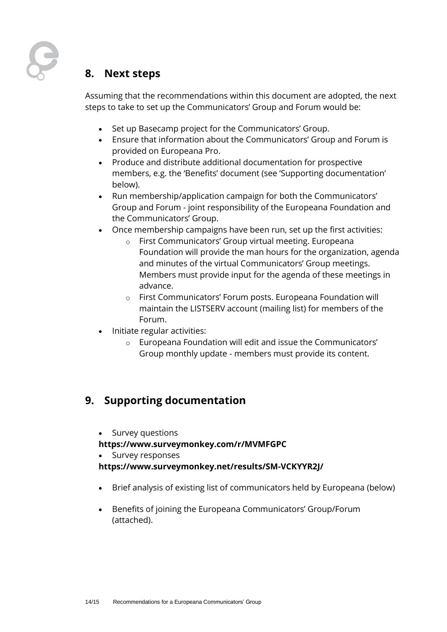

### <span id="page-13-0"></span>**8. Next steps**

Assuming that the recommendations within this document are adopted, the next steps to take to set up the Communicators' Group and Forum would be:

- Set up Basecamp project for the Communicators' Group.
- Ensure that information about the Communicators' Group and Forum is provided on Europeana Pro.
- Produce and distribute additional documentation for prospective members, e.g. the 'Benefits' document (see 'Supporting documentation' below).
- Run membership/application campaign for both the Communicators' Group and Forum - joint responsibility of the Europeana Foundation and the Communicators' Group.
- Once membership campaigns have been run, set up the first activities:
	- o First Communicators' Group virtual meeting. Europeana Foundation will provide the man hours for the organization, agenda and minutes of the virtual Communicators' Group meetings. Members must provide input for the agenda of these meetings in advance.
	- o First Communicators' Forum posts. Europeana Foundation will maintain the LISTSERV account (mailing list) for members of the Forum.
- Initiate regular activities:
	- o Europeana Foundation will edit and issue the Communicators' Group monthly update - members must provide its content.

### <span id="page-13-1"></span>**9. Supporting documentation**

Survey questions

#### **https://www.surveymonkey.com/r/MVMFGPC**

Survey responses

#### **<https://www.surveymonkey.net/results/SM-VCKYYR2J/>**

- Brief analysis of existing list of communicators held by Europeana (below)
- Benefits of joining the Europeana Communicators' Group/Forum (attached).